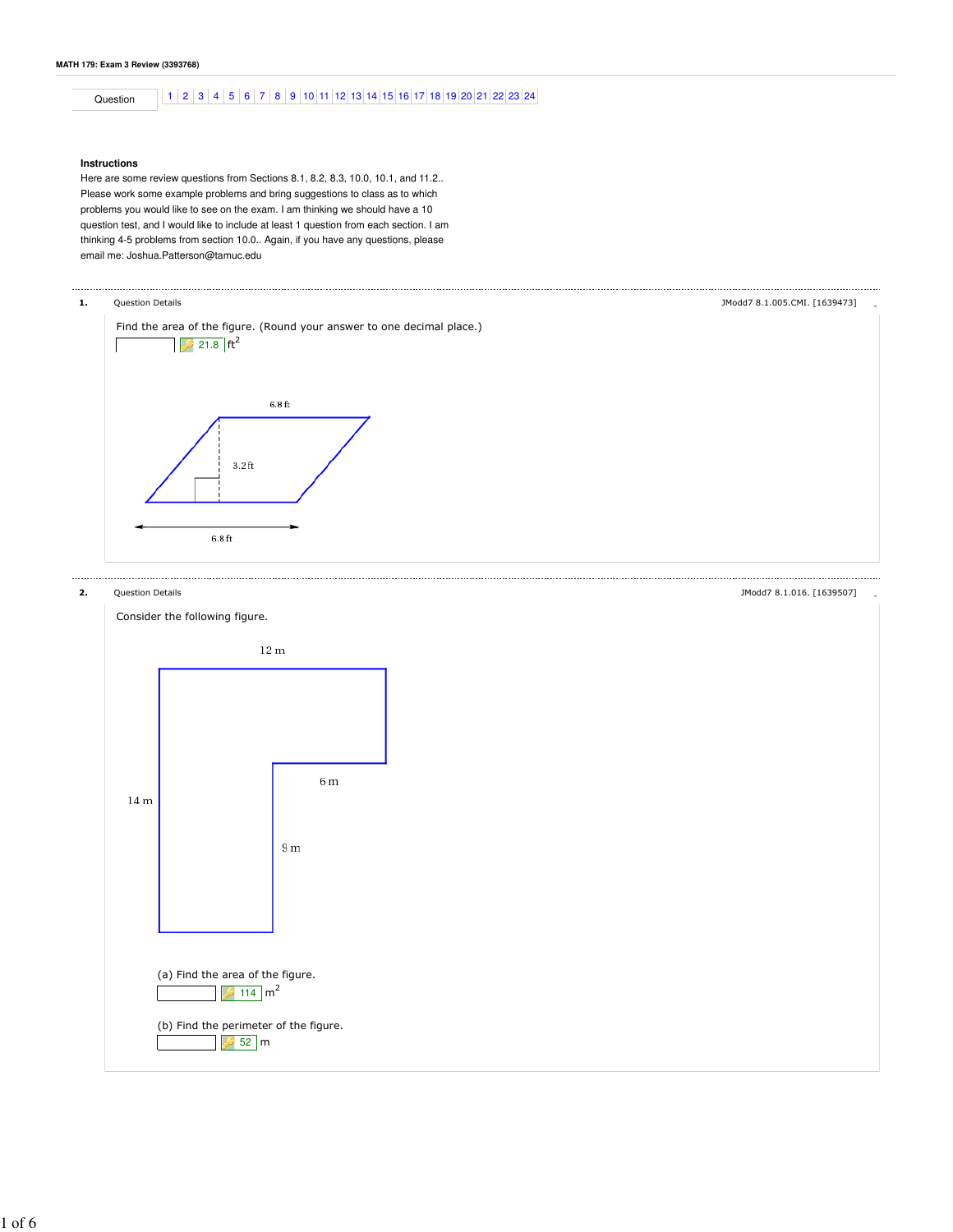Question 1 2 3 4 5 6 7 8 9 10 11 12 13 14 15 16 17 18 19 20 21 22 23 24

## **Instructions**

Here are some review questions from Sections 8.1, 8.2, 8.3, 10.0, 10.1, and 11.2.. Please work some example problems and bring suggestions to class as to which problems you would like to see on the exam. I am thinking we should have a 10 question test, and I would like to include at least 1 question from each section. I am thinking 4-5 problems from section 10.0.. Again, if you have any questions, please email me: Joshua.Patterson@tamuc.edu



1 of 6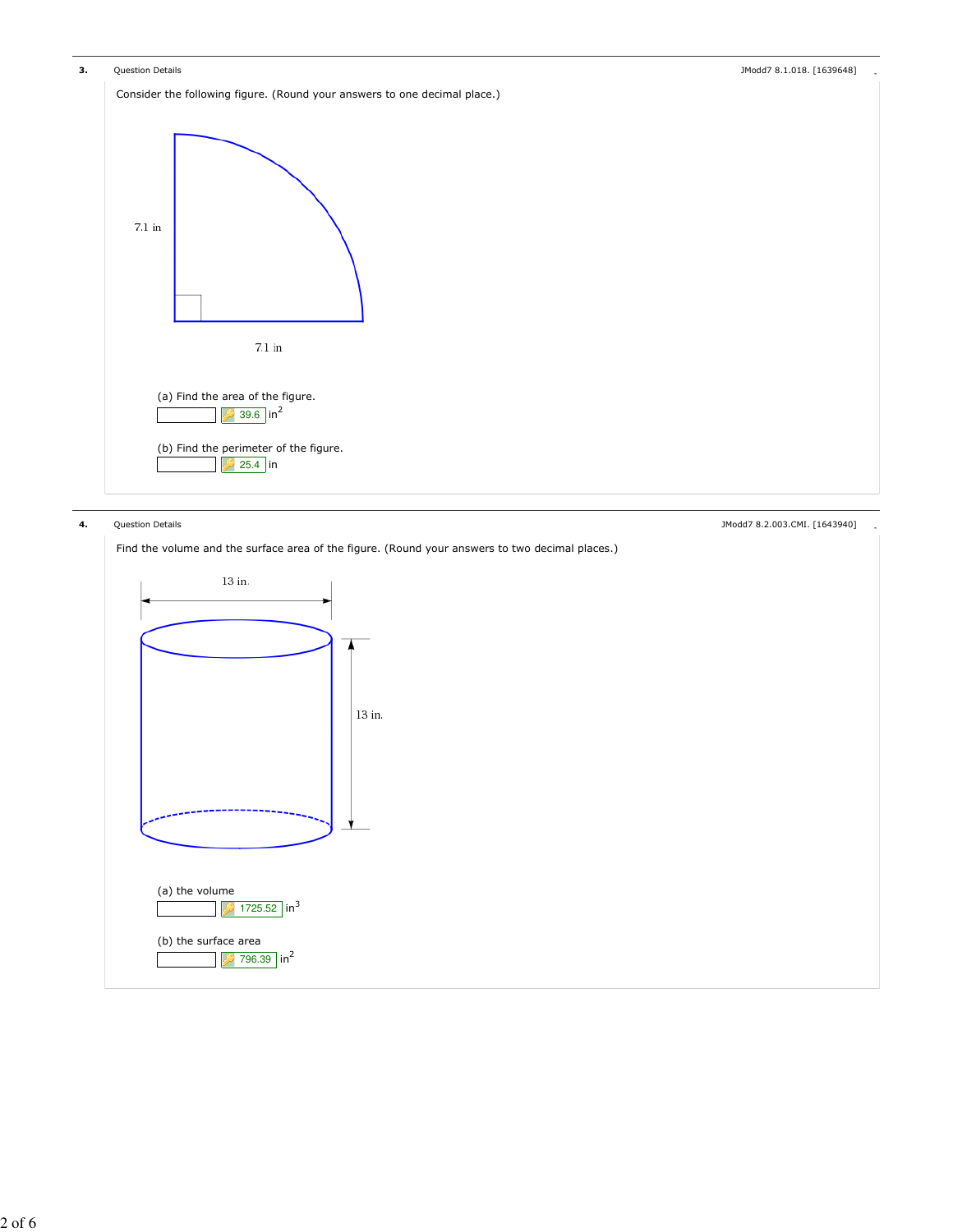

Find the volume and the surface area of the figure. (Round your answers to two decimal places.)



4. Question Details - JModd7 8.2.003.CMI. [1643940]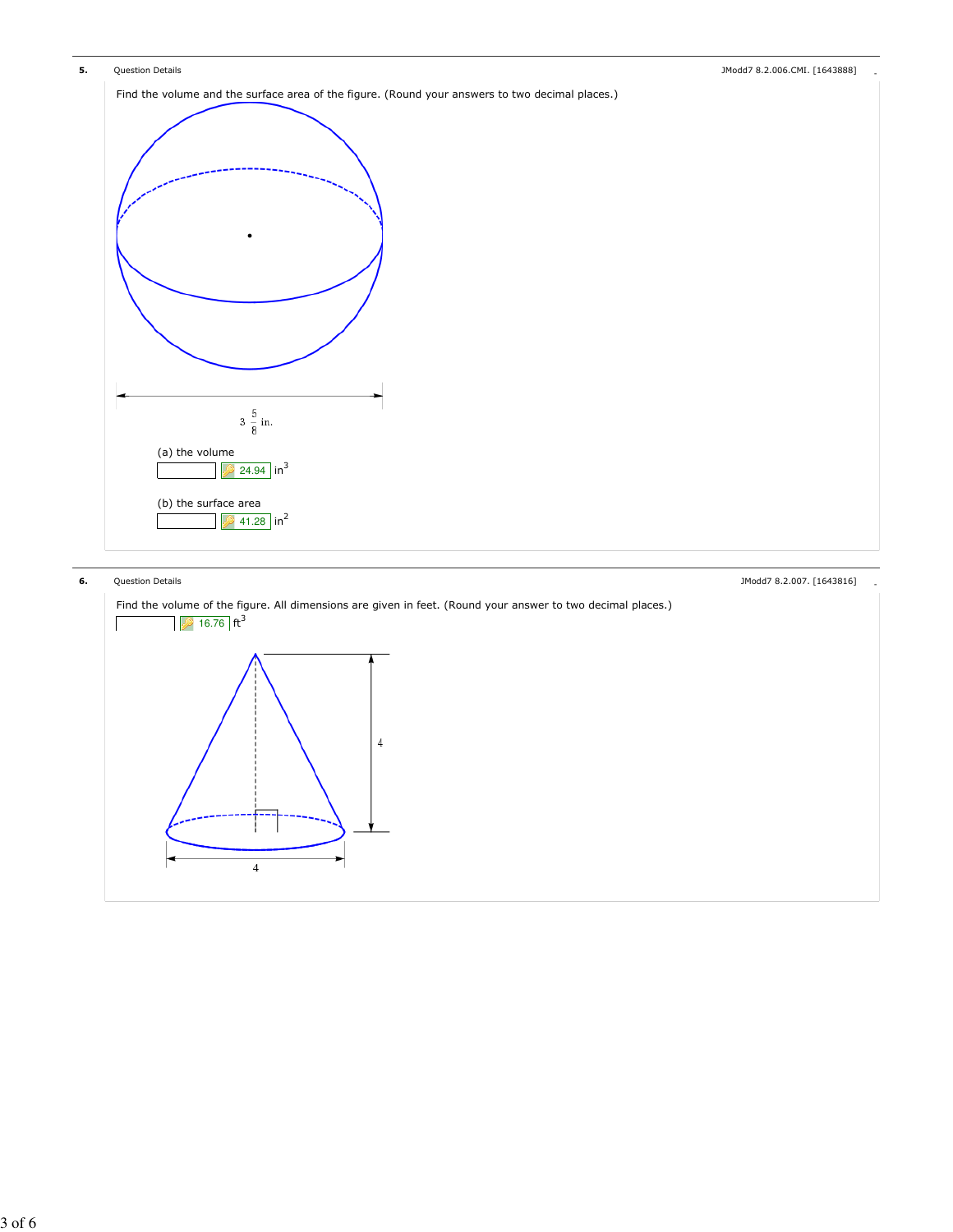

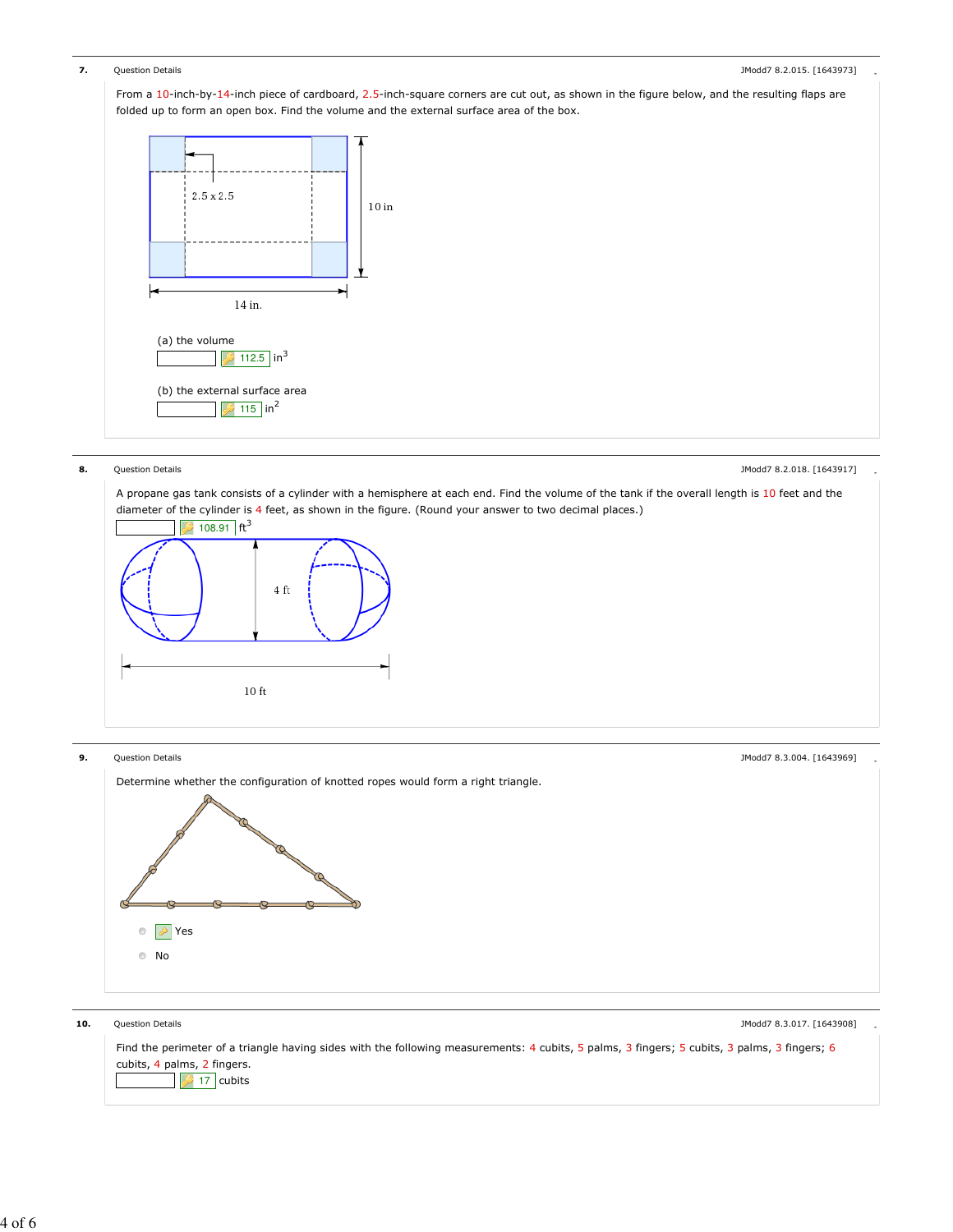

 $10<sub>ft</sub>$ 

# **8.** Question Details **Containers** and the set of the set of the set of the set of the set of the set of the set of the set of the set of the set of the set of the set of the set of the set of the set of the set of the set

A propane gas tank consists of a cylinder with a hemisphere at each end. Find the volume of the tank if the overall length is 10 feet and the diameter of the cylinder is 4 feet, as shown in the figure. (Round your answer to two decimal places.)  $2108.91$  ft<sup>3</sup>  $4\ \mathrm{ft}$ 

**9.** Question Details **Account 2.3.004.** [1643969] **9. CONFINITY OF A CONFINITY OF A CONFINITY OF A CONFINITY OF A CONFINITY OF A CONFINITY OF A CONFINITY OF A CONFINITY OF A CONFINITY OF A CONFIDENTIAL OF A CONFIDENTIAL** Determine whether the configuration of knotted ropes would form a right triangle. Yes No

10. Question Details **Alternative Control** 2012 12:3001 2012 13:40020 2012 13:40020 2012 13:40020 2012 13:4008 Find the perimeter of a triangle having sides with the following measurements: 4 cubits, 5 palms, 3 fingers; 5 cubits, 3 palms, 3 fingers; 6 cubits, 4 palms, 2 fingers.  $\overline{3}$  17 cubits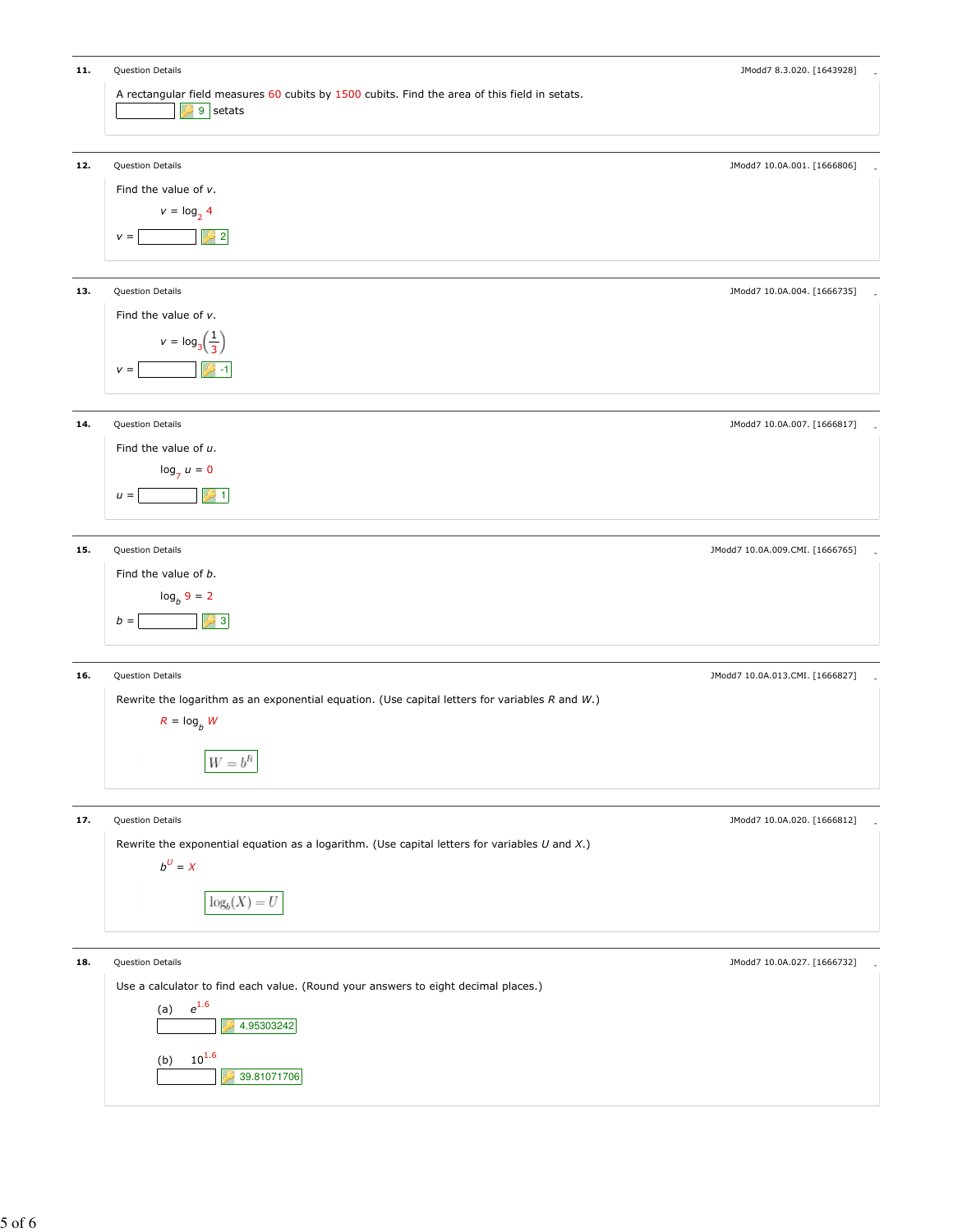| 11. | Question Details                                                                                                      | JModd7 8.3.020. [1643928]       |
|-----|-----------------------------------------------------------------------------------------------------------------------|---------------------------------|
|     | A rectangular field measures 60 cubits by 1500 cubits. Find the area of this field in setats.<br>9 setats             |                                 |
| 12. | Question Details<br>Find the value of $v$ .                                                                           | JModd7 10.0A.001. [1666806]     |
|     | $v = \log_2 4$<br>$\vert$ 2<br>$V =$                                                                                  |                                 |
| 13. | Question Details                                                                                                      | JModd7 10.0A.004. [1666735]     |
|     | Find the value of $v$ .<br>$v = \log_3\left(\frac{1}{3}\right)$                                                       |                                 |
|     | -22 - 1<br>$V =$                                                                                                      |                                 |
| 14. | Question Details                                                                                                      | JModd7 10.0A.007. [1666817]     |
|     | Find the value of $u$ .<br>$\log_7 u = 0$                                                                             |                                 |
|     | .21<br>$u =$                                                                                                          |                                 |
| 15. | Question Details                                                                                                      | JModd7 10.0A.009.CMI. [1666765] |
|     | Find the value of b.<br>$log_b 9 = 2$                                                                                 |                                 |
|     | $\mathbf{3}$<br>$b =$                                                                                                 |                                 |
| 16. | Question Details                                                                                                      | JModd7 10.0A.013.CMI. [1666827] |
|     | Rewrite the logarithm as an exponential equation. (Use capital letters for variables $R$ and $W$ .)<br>$R = \log_b W$ |                                 |
|     | $\boldsymbol{W}=\boldsymbol{b}^R$                                                                                     |                                 |
| 17. | Question Details                                                                                                      | JModd7 10.0A.020. [1666812]     |
|     | Rewrite the exponential equation as a logarithm. (Use capital letters for variables $U$ and $X$ .)<br>$b^U = X$       |                                 |
|     | $log_b(X) = U$                                                                                                        |                                 |
| 18. | Question Details                                                                                                      | JModd7 10.0A.027. [1666732]     |
|     | Use a calculator to find each value. (Round your answers to eight decimal places.)<br>$e^{1.6}$<br>(a)<br>4.95303242  |                                 |
|     | $10^{1.6}$<br>(b)<br>39.81071706                                                                                      |                                 |